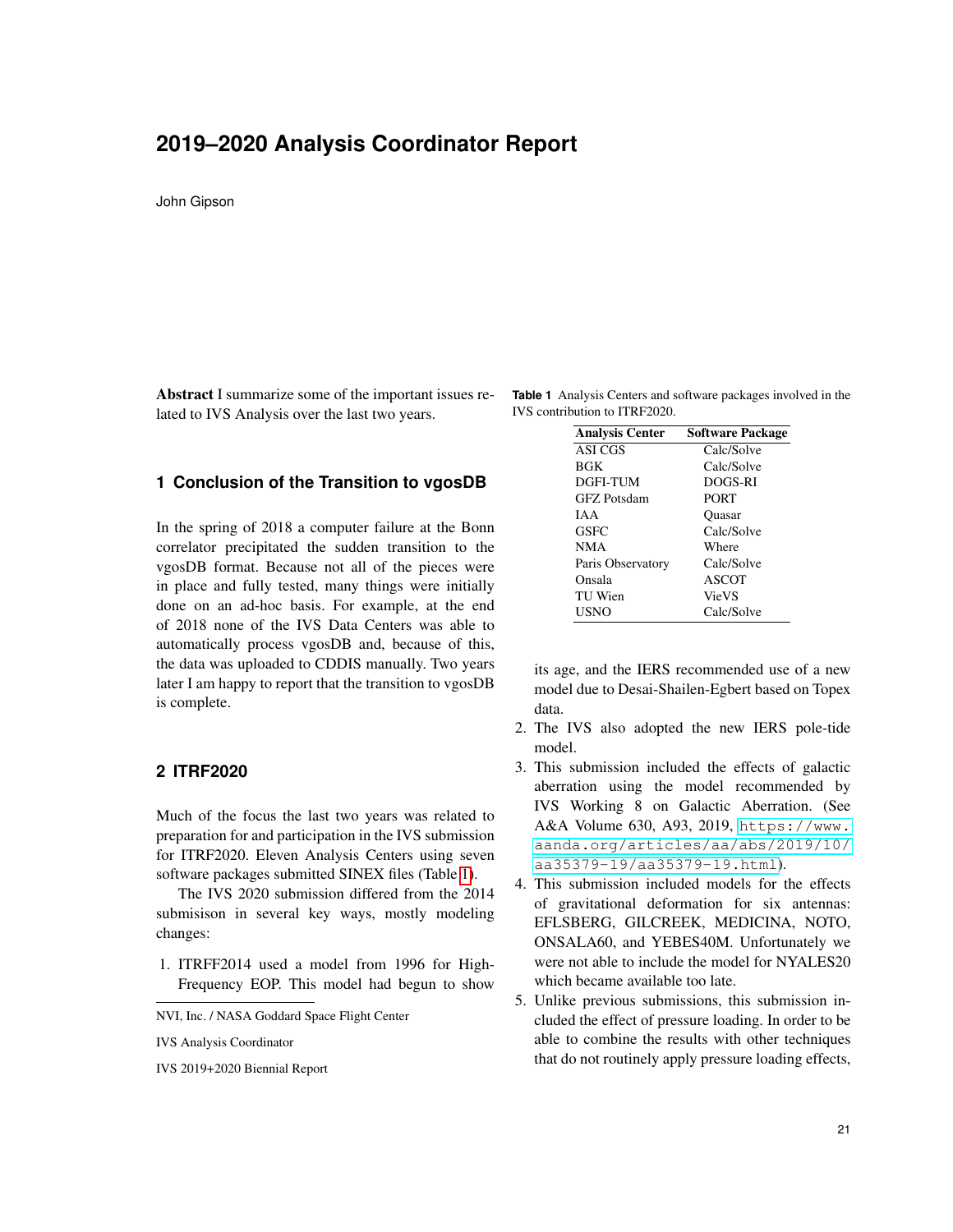# **2019–2020 Analysis Coordinator Report**

John Gipson

Abstract I summarize some of the important issues related to IVS Analysis over the last two years.

#### **1 Conclusion of the Transition to vgosDB**

In the spring of 2018 a computer failure at the Bonn correlator precipitated the sudden transition to the vgosDB format. Because not all of the pieces were in place and fully tested, many things were initially done on an ad-hoc basis. For example, at the end of 2018 none of the IVS Data Centers was able to automatically process vgosDB and, because of this, the data was uploaded to CDDIS manually. Two years later I am happy to report that the transition to vgosDB is complete.

### **2 ITRF2020**

Much of the focus the last two years was related to preparation for and participation in the IVS submission for ITRF2020. Eleven Analysis Centers using seven software packages submitted SINEX files (Table [1\)](#page-0-0).

The IVS 2020 submission differed from the 2014 submisison in several key ways, mostly modeling changes:

- 1. ITRFF2014 used a model from 1996 for High-Frequency EOP. This model had begun to show
- NVI, Inc. / NASA Goddard Space Flight Center

IVS 2019+2020 Biennial Report

**Table 1** Analysis Centers and software packages involved in the IVS contribution to ITRF2020.

<span id="page-0-0"></span>

| <b>Analysis Center</b> | <b>Software Package</b> |
|------------------------|-------------------------|
| ASI CGS                | Calc/Solve              |
| BGK                    | Calc/Solve              |
| <b>DGFI-TUM</b>        | DOGS-RI                 |
| <b>GFZ</b> Potsdam     | <b>PORT</b>             |
| IA A                   | <b>Ouasar</b>           |
| <b>GSFC</b>            | Calc/Solve              |
| NMA                    | Where                   |
| Paris Observatory      | Calc/Solve              |
| Onsala                 | <b>ASCOT</b>            |
| TU Wien                | <b>VieVS</b>            |
| <b>USNO</b>            | Calc/Solve              |

its age, and the IERS recommended use of a new model due to Desai-Shailen-Egbert based on Topex data.

- 2. The IVS also adopted the new IERS pole-tide model.
- 3. This submission included the effects of galactic aberration using the model recommended by IVS Working 8 on Galactic Aberration. (See A&A Volume 630, A93, 2019, [https://www.](https://www.aanda.org/articles/aa/abs/2019/10/aa35379-19/aa35379-19.html) [aanda.org/articles/aa/abs/2019/10/](https://www.aanda.org/articles/aa/abs/2019/10/aa35379-19/aa35379-19.html) [aa35379-19/aa35379-19.html](https://www.aanda.org/articles/aa/abs/2019/10/aa35379-19/aa35379-19.html)).
- 4. This submission included models for the effects of gravitational deformation for six antennas: EFLSBERG, GILCREEK, MEDICINA, NOTO, ONSALA60, and YEBES40M. Unfortunately we were not able to include the model for NYALES20 which became available too late.
- 5. Unlike previous submissions, this submission included the effect of pressure loading. In order to be able to combine the results with other techniques that do not routinely apply pressure loading effects,

IVS Analysis Coordinator